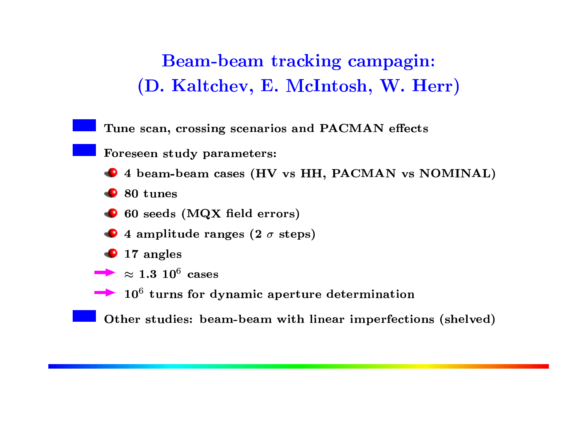Beam-beam tracking campagin: (D. Kaltchev, E. McIntosh, W. Herr)

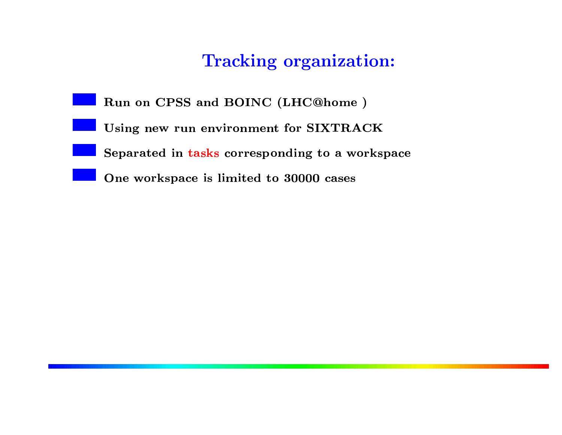## на против против на против на против и в страндарт в страндарт в страндарт на против страндарт на терминистии <br>В страндарт в страндарт в страндарт при возможности и в страндарт в страндарт в страндарт страндарт и страндар

- Run on CPSS and BOINC (LHC@home)
	- Using new run environment for SIXTRACK
	- Separated in tasks corresponding to a workspace
	- $\Omega$  (originate  $\Omega$  is limited to  $90000$  equal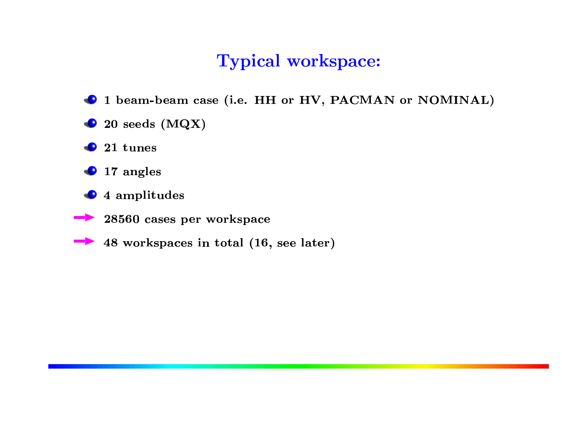## **Typical workspace:**

- 1 beam-beam case (i.e. HH or HV, PACMAN or NOMINAL)
- $\bullet$  20 seeds (MQX)
- $\bullet$  21 tunes
- $\bullet$  17 angles
- $\bullet$  4 amplitudes
	- 28560 cases per workspace
	- 48 workspaces in total (16, see later)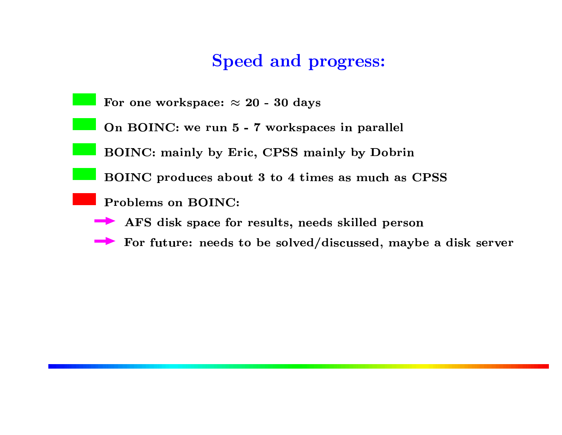## Speed and progress:

or one workspace:  $\approx 20$  -  $30$  day

On BOINC: we run 5 - 7 workspaces in parallel

 $R$  $\bigcap N$  $C$  mainly by  $Eri$ 

ric, CPSS mainly by Dobri<br>out 3 to 4 times as much as  $\mathbf{D}\mathbf{O}\mathbf{I}\mathbf{N}I\mathbf{O}$ ,  $\mathbf{I}$ ,  $\mathbf{I}$ ,  $\mathbf{I}$ ,  $\mathbf{I}$ ,  $\mathbf{I}$ ,  $\mathbf{I}$ ,  $\mathbf{I}$ ,  $\mathbf{O}\mathbf{I}$ 

Problems on BOINC:

AFS disk space for results, needs skilled person

For future: needs to be solved/discussed, maybe a disk server